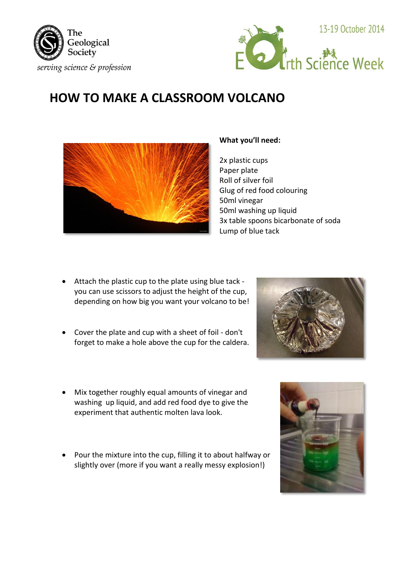



## **HOW TO MAKE A CLASSROOM VOLCANO**



## **What you'll need:**

2x plastic cups Paper plate Roll of silver foil Glug of red food colouring 50ml vinegar 50ml washing up liquid 3x table spoons bicarbonate of soda Lump of blue tack

- Attach the plastic cup to the plate using blue tack you can use scissors to adjust the height of the cup, depending on how big you want your volcano to be!
- Cover the plate and cup with a sheet of foil don't forget to make a hole above the cup for the caldera.



- Mix together roughly equal amounts of vinegar and washing up liquid, and add red food dye to give the experiment that authentic molten lava look.
- Pour the mixture into the cup, filling it to about halfway or slightly over (more if you want a really messy explosion!)